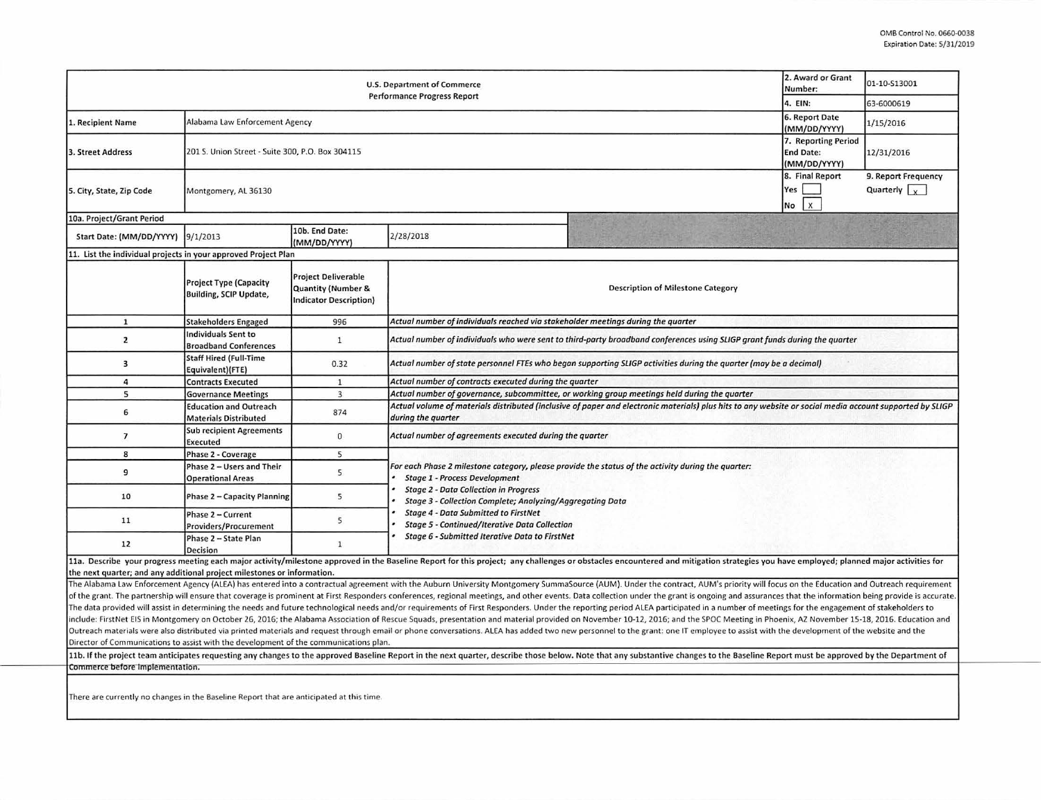| <b>U.S. Department of Commerce</b><br>Performance Progress Report       |                                                               |                                                                                              |                                                                                                                                                                                                                                                                |  |                                              | 01-10-S13001                                |  |  |  |  |
|-------------------------------------------------------------------------|---------------------------------------------------------------|----------------------------------------------------------------------------------------------|----------------------------------------------------------------------------------------------------------------------------------------------------------------------------------------------------------------------------------------------------------------|--|----------------------------------------------|---------------------------------------------|--|--|--|--|
|                                                                         |                                                               |                                                                                              |                                                                                                                                                                                                                                                                |  |                                              | 63-6000619                                  |  |  |  |  |
| 1. Recipient Name                                                       | Alabama Law Enforcement Agency                                |                                                                                              |                                                                                                                                                                                                                                                                |  |                                              | 1/15/2016                                   |  |  |  |  |
| 3. Street Address                                                       | 201 S. Union Street - Suite 300, P.O. Box 304115              |                                                                                              |                                                                                                                                                                                                                                                                |  |                                              | 12/31/2016                                  |  |  |  |  |
| 5. City, State, Zip Code                                                | Montgomery, AL 36130                                          |                                                                                              |                                                                                                                                                                                                                                                                |  | 8. Final Report<br>Yes<br>$\mathbf{x}$<br>No | 9. Report Frequency<br>Quarterly $\sqrt{x}$ |  |  |  |  |
| 10a. Project/Grant Period                                               |                                                               |                                                                                              |                                                                                                                                                                                                                                                                |  |                                              |                                             |  |  |  |  |
| Start Date: (MM/DD/YYYY)                                                | 9/1/2013                                                      | 10b. End Date:<br>(MM/DD/YYYY)                                                               | 2/28/2018                                                                                                                                                                                                                                                      |  |                                              |                                             |  |  |  |  |
| 11. List the individual projects in your approved Project Plan          |                                                               |                                                                                              |                                                                                                                                                                                                                                                                |  |                                              |                                             |  |  |  |  |
|                                                                         | <b>Project Type (Capacity</b><br>Building, SCIP Update,       | <b>Project Deliverable</b><br><b>Quantity (Number &amp;</b><br><b>Indicator Description)</b> | <b>Description of Milestone Category</b>                                                                                                                                                                                                                       |  |                                              |                                             |  |  |  |  |
| $\mathbf{1}$                                                            | <b>Stakeholders Engaged</b>                                   | 996                                                                                          | Actual number of individuals reached via stakeholder meetings during the quarter                                                                                                                                                                               |  |                                              |                                             |  |  |  |  |
| $\overline{2}$                                                          | <b>Individuals Sent to</b><br><b>Broadband Conferences</b>    | $\mathbf{1}$                                                                                 | Actual number of individuals who were sent to third-party broadband conferences using SLIGP grant funds during the quarter                                                                                                                                     |  |                                              |                                             |  |  |  |  |
| 3                                                                       | <b>Staff Hired (Full-Time</b><br>Equivalent)(FTE)             | 0.32                                                                                         | Actual number of state personnel FTEs who began supporting SLIGP activities during the quarter (may be a decimal)                                                                                                                                              |  |                                              |                                             |  |  |  |  |
| 4                                                                       | <b>Contracts Executed</b>                                     | $\mathbf{1}$                                                                                 | Actual number of contracts executed during the quarter                                                                                                                                                                                                         |  |                                              |                                             |  |  |  |  |
| 5                                                                       | <b>Governance Meetings</b>                                    | $\overline{3}$                                                                               | Actual number of governance, subcommittee, or working group meetings held during the quarter                                                                                                                                                                   |  |                                              |                                             |  |  |  |  |
| 6                                                                       | <b>Education and Outreach</b><br><b>Materials Distributed</b> | 874                                                                                          | Actual volume of materials distributed (inclusive of paper and electronic materials) plus hits to any website or social media account supported by SLIGP<br>during the quarter                                                                                 |  |                                              |                                             |  |  |  |  |
| $\overline{\phantom{a}}$                                                | <b>Sub recipient Agreements</b><br>Executed                   | $\bf{0}$                                                                                     | Actual number of agreements executed during the quarter                                                                                                                                                                                                        |  |                                              |                                             |  |  |  |  |
| 8                                                                       | <b>Phase 2 - Coverage</b>                                     | 5                                                                                            |                                                                                                                                                                                                                                                                |  |                                              |                                             |  |  |  |  |
| 9                                                                       | Phase 2 - Users and Their<br><b>Operational Areas</b>         | 5                                                                                            | For each Phase 2 milestone category, please provide the status of the activity during the quarter:<br><b>Stage 1 - Process Development</b><br><b>Stage 2 - Data Collection in Progress</b><br><b>Stage 3 - Collection Complete; Analyzing/Aggregating Data</b> |  |                                              |                                             |  |  |  |  |
| 10                                                                      | Phase 2 - Capacity Planning                                   | 5                                                                                            |                                                                                                                                                                                                                                                                |  |                                              |                                             |  |  |  |  |
| 11                                                                      | Phase 2 - Current<br><b>Providers/Procurement</b>             | 5                                                                                            | <b>Stage 4 - Data Submitted to FirstNet</b><br><b>Stage 5 - Continued/Iterative Data Collection</b><br><b>Stage 6 - Submitted Iterative Data to FirstNet</b>                                                                                                   |  |                                              |                                             |  |  |  |  |
| 12                                                                      | Phase 2 - State Plan<br>Decision                              | $\mathbf{1}$                                                                                 |                                                                                                                                                                                                                                                                |  |                                              |                                             |  |  |  |  |
|                                                                         |                                                               |                                                                                              | 11a. Describe your progress meeting each major activity/milestone approved in the Baseline Report for this project; any challenges or obstacles encountered and mitigation strategies you have employed; planned major activit                                 |  |                                              |                                             |  |  |  |  |
| the next quarter; and any additional project milestones or information. |                                                               |                                                                                              |                                                                                                                                                                                                                                                                |  |                                              |                                             |  |  |  |  |
|                                                                         |                                                               |                                                                                              | The Alabama Law Enforcement Agency (ALEA) has entered into a contractual agreement with the Auburn University Montgomery SummaSource (AUM). Under the contract, AUM's priority will focus on the Education and Outreach requir                                 |  |                                              |                                             |  |  |  |  |
|                                                                         |                                                               |                                                                                              | of the grant. The partnership will ensure that coverage is prominent at First Responders conferences, regional meetings, and other events. Data collection under the grant is ongoing and assurances that the information bein                                 |  |                                              |                                             |  |  |  |  |
|                                                                         |                                                               |                                                                                              | The data provided will assist in determining the needs and future technological needs and/or requirements of First Responders. Under the reporting period ALEA participated in a number of meetings for the engagement of stak                                 |  |                                              |                                             |  |  |  |  |
|                                                                         |                                                               |                                                                                              | include: FirstNet EIS in Montgomery on October 26, 2016; the Alabama Association of Rescue Squads, presentation and material provided on November 10-12, 2016; and the SPOC Meeting in Phoenix, AZ November 15-18, 2016. Educa                                 |  |                                              |                                             |  |  |  |  |

Outreach materials were also distributed via printed materials and request through email or phone conversations. ALEA has added two new personnel to the grant: one IT employee to assist with the development of the website **Director of Communications to assist with the development of the communications plan.** 

11b. If the project team anticipates requesting any changes to the approved Baseline Report in the next quarter, describe those below. Note that any substantive changes to the Baseline Report must be approved by the Depart **Commerce before Implementation.** 

**There are currently no changes in the Baseline Report that are anticipated at this time.**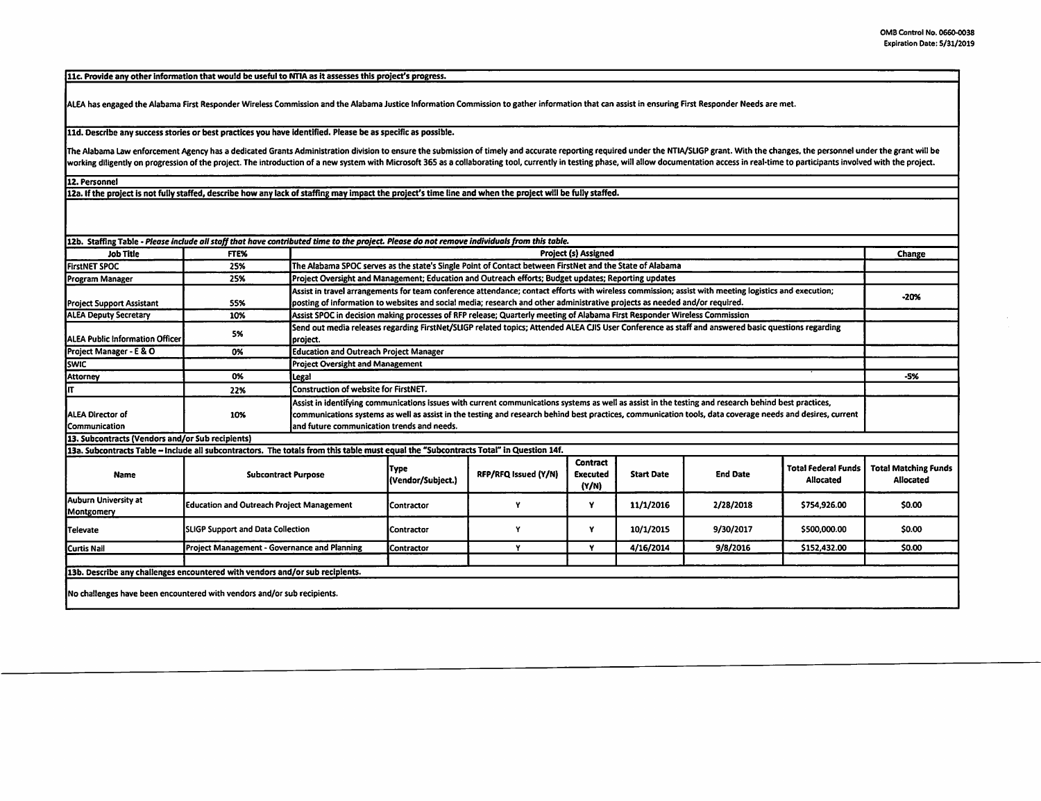11c, Provide any other information that would be useful to NTIA as it assesses this project's progress.

ALEA has engaged the Alabama First Responder Wireless Commission and the Alabama Justice Information Commission to gather information that can assist in ensuring First Responder Needs are met.

11d. Describe any success stories or best practices you have Identified. Please be as specific as possible.

The Alabama Law enforcement Agency has a dedicated Grants Administration division to ensure the submission of timely and accurate reporting required under the NTIA/SLIGP grant. With the changes, the personnel under the gra working diligently on progression of the project. The introduction of a new system with Microsoft 365 as a collaborating tool, currently in testing phase, will allow documentation access in real-time to participants involv

12. Personnel

12a. If the project is not fully staffed, describe how any lack of staffing may impact the project's time line and when the project will be fully staffed.

| 12b. Staffing Table - Please include all staff that have contributed time to the project. Please do not remove individuals from this table. |                                                  |                                                                                                                                                                                                                                                                                                                                                                 |                                                                                                                                                      |                                                                                                          |                                             |                   |                 |                                                |                                          |
|---------------------------------------------------------------------------------------------------------------------------------------------|--------------------------------------------------|-----------------------------------------------------------------------------------------------------------------------------------------------------------------------------------------------------------------------------------------------------------------------------------------------------------------------------------------------------------------|------------------------------------------------------------------------------------------------------------------------------------------------------|----------------------------------------------------------------------------------------------------------|---------------------------------------------|-------------------|-----------------|------------------------------------------------|------------------------------------------|
| <b>Job Title</b>                                                                                                                            | FTE%                                             |                                                                                                                                                                                                                                                                                                                                                                 |                                                                                                                                                      |                                                                                                          | <b>Project (s) Assigned</b>                 |                   |                 |                                                | <b>Change</b>                            |
| <b>FirstNET SPOC</b>                                                                                                                        | 25%                                              |                                                                                                                                                                                                                                                                                                                                                                 |                                                                                                                                                      | The Alabama SPOC serves as the state's Single Point of Contact between FirstNet and the State of Alabama |                                             |                   |                 |                                                |                                          |
| Program Manager                                                                                                                             | 25%                                              |                                                                                                                                                                                                                                                                                                                                                                 | Project Oversight and Management; Education and Outreach efforts; Budget updates; Reporting updates                                                  |                                                                                                          |                                             |                   |                 |                                                |                                          |
|                                                                                                                                             |                                                  |                                                                                                                                                                                                                                                                                                                                                                 | Assist in travel arrangements for team conference attendance; contact efforts with wireless commission; assist with meeting logistics and execution; |                                                                                                          |                                             |                   |                 |                                                | $-20%$                                   |
| <b>Project Support Assistant</b>                                                                                                            | 55%                                              |                                                                                                                                                                                                                                                                                                                                                                 | posting of information to websites and social media; research and other administrative projects as needed and/or required.                           |                                                                                                          |                                             |                   |                 |                                                |                                          |
| <b>ALEA Deputy Secretary</b>                                                                                                                | 10%                                              |                                                                                                                                                                                                                                                                                                                                                                 | Assist SPOC in decision making processes of RFP release; Quarterly meeting of Alabama First Responder Wireless Commission                            |                                                                                                          |                                             |                   |                 |                                                |                                          |
| ALEA Public Information Officer                                                                                                             | 5%                                               | project.                                                                                                                                                                                                                                                                                                                                                        | Send out media releases regarding FirstNet/SLIGP related topics; Attended ALEA CJIS User Conference as staff and answered basic questions regarding  |                                                                                                          |                                             |                   |                 |                                                |                                          |
| Project Manager - E & O                                                                                                                     | 0%                                               |                                                                                                                                                                                                                                                                                                                                                                 | <b>Education and Outreach Project Manager</b>                                                                                                        |                                                                                                          |                                             |                   |                 |                                                |                                          |
| <b>Iswic</b>                                                                                                                                |                                                  | <b>Project Oversight and Management</b>                                                                                                                                                                                                                                                                                                                         |                                                                                                                                                      |                                                                                                          |                                             |                   |                 |                                                |                                          |
| Attorney                                                                                                                                    | 0%                                               | Legal                                                                                                                                                                                                                                                                                                                                                           |                                                                                                                                                      |                                                                                                          |                                             |                   |                 |                                                | -5%                                      |
| lπ                                                                                                                                          | 22%                                              |                                                                                                                                                                                                                                                                                                                                                                 | Construction of website for FirstNET.                                                                                                                |                                                                                                          |                                             |                   |                 |                                                |                                          |
| <b>ALEA Director of</b><br>Communication                                                                                                    | 10%                                              | Assist in identifying communications issues with current communications systems as well as assist in the testing and research behind best practices,<br>communications systems as well as assist in the testing and research behind best practices, communication tools, data coverage needs and desires, current<br>and future communication trends and needs. |                                                                                                                                                      |                                                                                                          |                                             |                   |                 |                                                |                                          |
| [13. Subcontracts (Vendors and/or Sub recipients)                                                                                           |                                                  |                                                                                                                                                                                                                                                                                                                                                                 |                                                                                                                                                      |                                                                                                          |                                             |                   |                 |                                                |                                          |
| 13a. Subcontracts Table - Include all subcontractors. The totals from this table must equal the "Subcontracts Total" in Question 14f.       |                                                  |                                                                                                                                                                                                                                                                                                                                                                 |                                                                                                                                                      |                                                                                                          |                                             |                   |                 |                                                |                                          |
| <b>Name</b>                                                                                                                                 | <b>Subcontract Purpose</b>                       |                                                                                                                                                                                                                                                                                                                                                                 | <b>Type</b><br>(Vendor/Subject.)                                                                                                                     | RFP/RFQ Issued (Y/N)                                                                                     | <b>Contract</b><br><b>Executed</b><br>(Y/N) | <b>Start Date</b> | <b>End Date</b> | <b>Total Federal Funds</b><br><b>Allocated</b> | <b>Total Matching Funds</b><br>Allocated |
| Auburn University at<br>Montgomery                                                                                                          | <b>Education and Outreach Project Management</b> |                                                                                                                                                                                                                                                                                                                                                                 | l Contractor                                                                                                                                         |                                                                                                          | Y                                           | 11/1/2016         | 2/28/2018       | \$754,926.00                                   | \$0.00                                   |
| Televate                                                                                                                                    | <b>SLIGP Support and Data Collection</b>         |                                                                                                                                                                                                                                                                                                                                                                 | <b>I</b> Contractor                                                                                                                                  | ٧                                                                                                        | Y                                           | 10/1/2015         | 9/30/2017       | \$500,000.00                                   | \$0.00                                   |
| Curtis Nail                                                                                                                                 | Project Management - Governance and Planning     |                                                                                                                                                                                                                                                                                                                                                                 | <b>Contractor</b>                                                                                                                                    | v                                                                                                        | v                                           | 4/16/2014         | 9/8/2016        | \$152,432.00                                   | \$0.00                                   |
|                                                                                                                                             |                                                  |                                                                                                                                                                                                                                                                                                                                                                 |                                                                                                                                                      |                                                                                                          |                                             |                   |                 |                                                |                                          |
| 13b. Describe any challenges encountered with vendors and/or sub recipients.                                                                |                                                  |                                                                                                                                                                                                                                                                                                                                                                 |                                                                                                                                                      |                                                                                                          |                                             |                   |                 |                                                |                                          |
| No challenges have been encountered with vendors and/or sub recipients.                                                                     |                                                  |                                                                                                                                                                                                                                                                                                                                                                 |                                                                                                                                                      |                                                                                                          |                                             |                   |                 |                                                |                                          |